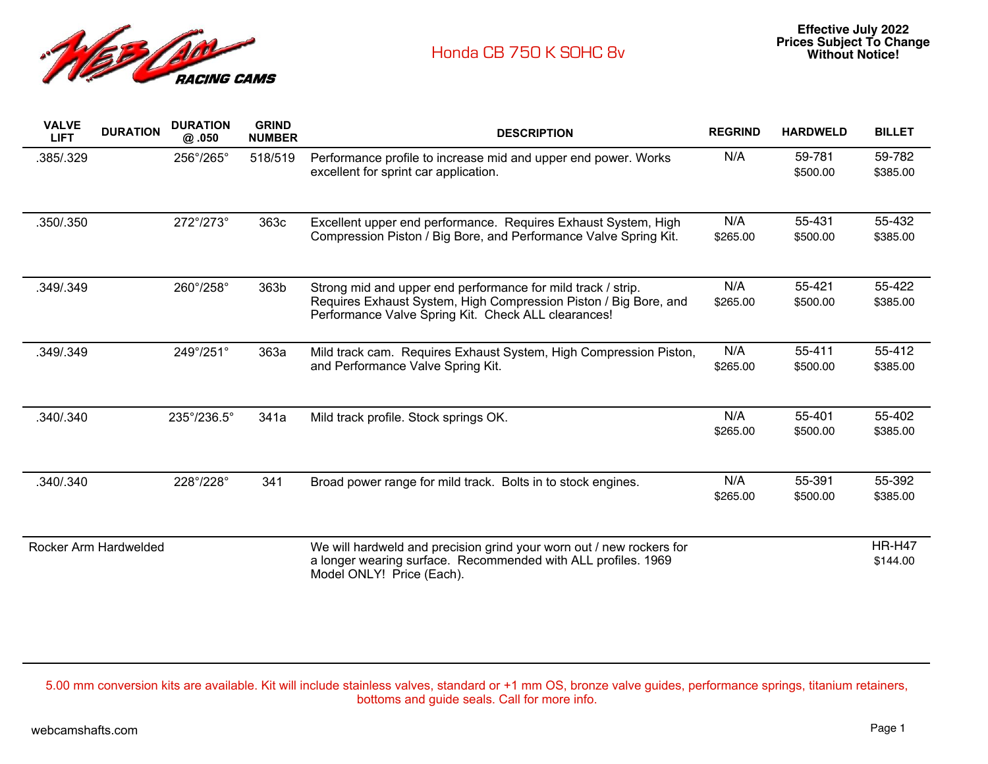

| <b>VALVE</b><br><b>LIFT</b> | <b>DURATION</b>       | <b>DURATION</b><br>@.050    | <b>GRIND</b><br><b>NUMBER</b> | <b>DESCRIPTION</b>                                                                                                                                                                      | <b>REGRIND</b>  | <b>HARDWELD</b>    | <b>BILLET</b>             |
|-----------------------------|-----------------------|-----------------------------|-------------------------------|-----------------------------------------------------------------------------------------------------------------------------------------------------------------------------------------|-----------------|--------------------|---------------------------|
| .385/.329                   |                       | 256°/265°                   | 518/519                       | Performance profile to increase mid and upper end power. Works<br>excellent for sprint car application.                                                                                 | N/A             | 59-781<br>\$500.00 | 59-782<br>\$385.00        |
| .350/.350                   |                       | 272°/273°                   | 363c                          | Excellent upper end performance. Requires Exhaust System, High<br>Compression Piston / Big Bore, and Performance Valve Spring Kit.                                                      | N/A<br>\$265.00 | 55-431<br>\$500.00 | 55-432<br>\$385.00        |
| .349/.349                   |                       | 260°/258°                   | 363b                          | Strong mid and upper end performance for mild track / strip.<br>Requires Exhaust System, High Compression Piston / Big Bore, and<br>Performance Valve Spring Kit. Check ALL clearances! | N/A<br>\$265.00 | 55-421<br>\$500.00 | 55-422<br>\$385.00        |
| .349/.349                   |                       | 249°/251°                   | 363a                          | Mild track cam. Requires Exhaust System, High Compression Piston,<br>and Performance Valve Spring Kit.                                                                                  | N/A<br>\$265.00 | 55-411<br>\$500.00 | 55-412<br>\$385.00        |
| .340/.340                   |                       | $235^{\circ}/236.5^{\circ}$ | 341a                          | Mild track profile. Stock springs OK.                                                                                                                                                   | N/A<br>\$265.00 | 55-401<br>\$500.00 | 55-402<br>\$385.00        |
| .340/.340                   |                       | 228°/228°                   | 341                           | Broad power range for mild track. Bolts in to stock engines.                                                                                                                            | N/A<br>\$265.00 | 55-391<br>\$500.00 | 55-392<br>\$385.00        |
|                             | Rocker Arm Hardwelded |                             |                               | We will hardweld and precision grind your worn out / new rockers for<br>a longer wearing surface. Recommended with ALL profiles. 1969<br>Model ONLY! Price (Each).                      |                 |                    | <b>HR-H47</b><br>\$144.00 |

5.00 mm conversion kits are available. Kit will include stainless valves, standard or +1 mm OS, bronze valve guides, performance springs, titanium retainers, bottoms and guide seals. Call for more info.